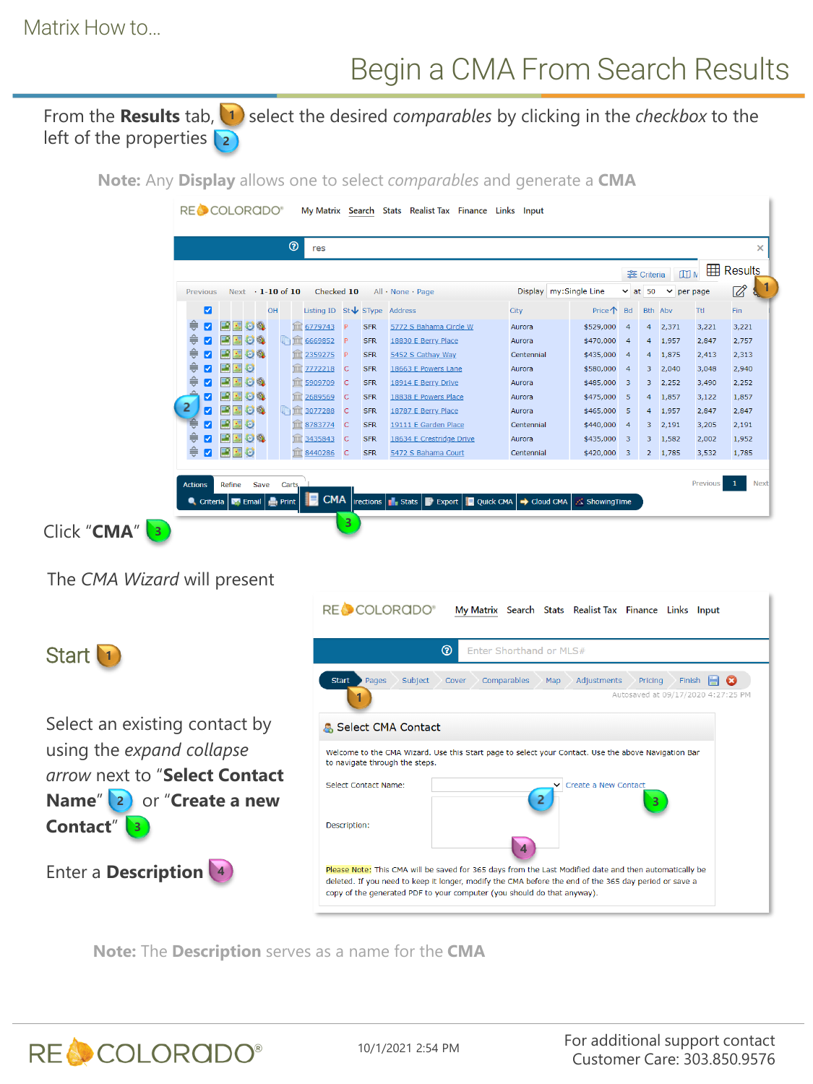### Begin a CMA From Search Results

From the **Results** tab,  $\left(1\right)$  select the desired *comparables* by clicking in the *checkbox* to the left of the properties **2**

**Note:** Any **Display** allows one to select *comparables* and generate a **CMA**

|   | Display my: Single Line<br>$Next \t1-10$ of 10<br>Checked 10<br>All · None · Page<br>Previous |    |      |    |    |      |                                      |                            |            |                          | <del>을</del> Criteria<br>$\vee$ at 50 |               | <b>H</b> Results<br><b>四</b><br>$\vee$ per page |  |                |            |
|---|-----------------------------------------------------------------------------------------------|----|------|----|----|------|--------------------------------------|----------------------------|------------|--------------------------|---------------------------------------|---------------|-------------------------------------------------|--|----------------|------------|
|   | $\blacksquare$                                                                                |    |      | OH |    |      | Listing ID $St\bigvee$ SType Address |                            |            |                          | City                                  | <b>Price个</b> | <b>Bd</b>                                       |  | <b>Bth Abv</b> | <b>Ttl</b> |
|   | M                                                                                             |    | 手間のの |    |    |      | 6779743                              | P                          | <b>SFR</b> | 5772 S Bahama Circle W   | Aurora                                | \$529,000     | $\overline{4}$                                  |  | 4 2,371        | 3,221      |
| ≑ | ø                                                                                             | 国の | OQ   |    | いか |      | 6669852                              | P                          | <b>SFR</b> | 18830 E Berry Place      | Aurora                                | \$470,000     | $\overline{4}$                                  |  | 4 1,957        | 2,847      |
| ≑ | ø                                                                                             |    | 手脚じむ |    |    | TITT | 2359275                              | P                          | <b>SFR</b> | 5452 S Cathay Way        | Centennial                            | \$435,000     | - 4                                             |  | 4 1,875        | 2,413      |
| ≑ | Ø                                                                                             |    | 望りじ  |    |    |      | 7772218 C                            |                            | <b>SFR</b> | 18663 E Powers Lane      | Aurora                                | \$580,000     | - 4                                             |  | $3 - 2,040$    | 3,048      |
|   | ☑                                                                                             |    | 「国のの |    |    | THE  | 5909709                              | $\overline{\phantom{a}}$ C | <b>SFR</b> | 18914 E Berry Drive      | Aurora                                | \$485,000     | - 3                                             |  | 3, 2, 252      | 3,490      |
|   | ☑                                                                                             |    | 再開心の |    |    |      | 2689569                              | $\overline{\phantom{a}}$ C | <b>SFR</b> | 18838 E Powers Place     | Aurora                                | \$475,000     | - 5                                             |  | 4 1,857        | 3,122      |
| 2 | Ø                                                                                             |    | 再因もな |    | 师血 |      | 3077288                              | $\overline{\mathsf{C}}$    | <b>SFR</b> | 18787 E Berry Place      | Aurora                                | \$465,000     | - 5                                             |  | 4 1,957        | 2,847      |
|   | ◡                                                                                             |    | 雪野心  |    |    |      | 8783774                              | $\overline{\phantom{a}}$ C | <b>SFR</b> | 19111 E Garden Place     | Centennial                            | \$440,000     | - 4                                             |  | 3, 2, 191      | 3,205      |
|   | ☑                                                                                             |    | 「動物の |    |    |      | m 3435843                            | <b>C</b>                   | <b>SFR</b> | 18634 E Crestridge Drive | Aurora                                | \$435,000     | -3                                              |  | 3, 1,582       | 2.002      |
| € | ø                                                                                             |    | 望りむ  |    |    |      | <b>III</b> 8440286                   | <b>C</b>                   | <b>SFR</b> | 5472 S Bahama Court      | Centennial                            | \$420,000     | - 3                                             |  | 2, 1,785       | 3,532      |

The *CMA Wizard* will present



**Note:** The **Description** serves as a name for the **CMA**



10/1/2021 2:54 PM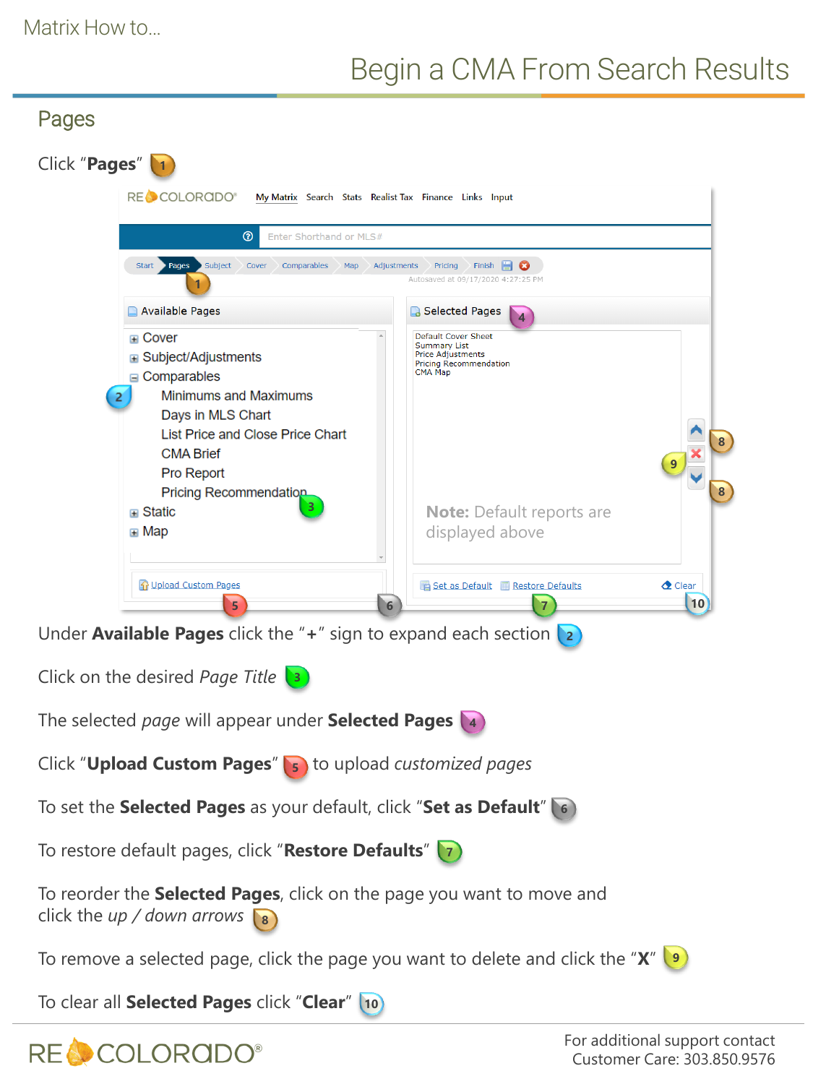# Begin a CMA From Search Results